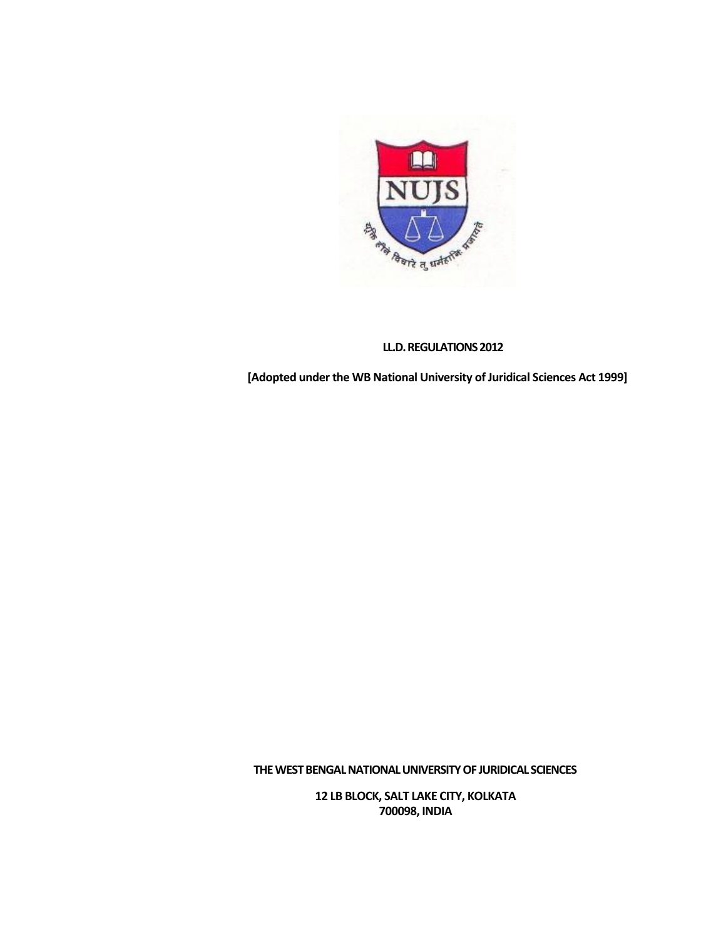

# **LL.D. REGULATIONS 2012**

**[Adopted under the WB National University of Juridical Sciences Act 1999]**

**THEWESTBENGALNATIONALUNIVERSITYOF JURIDICAL SCIENCES**

**12 LB BLOCK, SALT LAKE CITY, KOLKATA 700098, INDIA**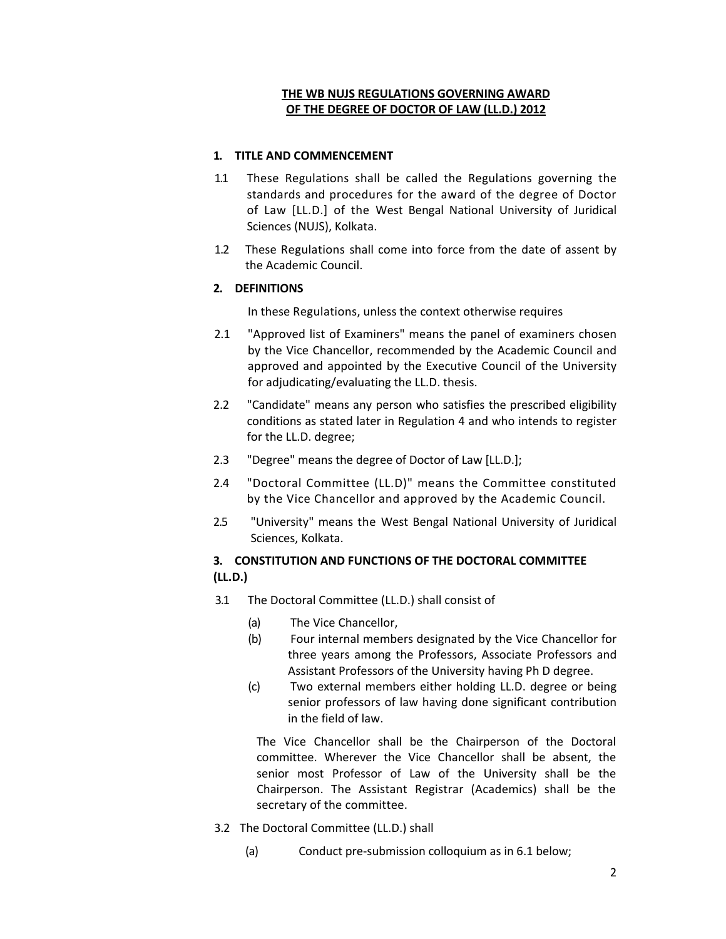## **THE WB NUJS REGULATIONS GOVERNING AWARD OF THE DEGREE OF DOCTOR OF LAW (LL.D.) 2012**

### **1. TITLE AND COMMENCEMENT**

- 1.1 These Regulations shall be called the Regulations governing the standards and procedures for the award of the degree of Doctor of Law [LL.D.] of the West Bengal National University of Juridical Sciences (NUJS), Kolkata.
- 1.2 These Regulations shall come into force from the date of assent by the Academic Council.

### **2. DEFINITIONS**

In these Regulations, unless the context otherwise requires

- 2.1 "Approved list of Examiners" means the panel of examiners chosen by the Vice Chancellor, recommended by the Academic Council and approved and appointed by the Executive Council of the University for adjudicating/evaluating the LL.D. thesis.
- 2.2 "Candidate" means any person who satisfies the prescribed eligibility conditions as stated later in Regulation 4 and who intends to register for the LL.D. degree;
- 2.3 "Degree" means the degree of Doctor of Law [LL.D.];
- 2.4 "Doctoral Committee (LL.D)" means the Committee constituted by the Vice Chancellor and approved by the Academic Council.
- 2.5 "University" means the West Bengal National University of Juridical Sciences, Kolkata.

# **3. CONSTITUTION AND FUNCTIONS OF THE DOCTORAL COMMITTEE (LL.D.)**

- 3.1 The Doctoral Committee (LL.D.) shall consist of
	- (a) The Vice Chancellor,
	- (b) Four internal members designated by the Vice Chancellor for three years among the Professors, Associate Professors and Assistant Professors of the University having Ph D degree.
	- (c) Two external members either holding LL.D. degree or being senior professors of law having done significant contribution in the field of law.

The Vice Chancellor shall be the Chairperson of the Doctoral committee. Wherever the Vice Chancellor shall be absent, the senior most Professor of Law of the University shall be the Chairperson. The Assistant Registrar (Academics) shall be the secretary of the committee.

- 3.2 The Doctoral Committee (LL.D.) shall
	- (a) Conduct pre‐submission colloquium as in 6.1 below;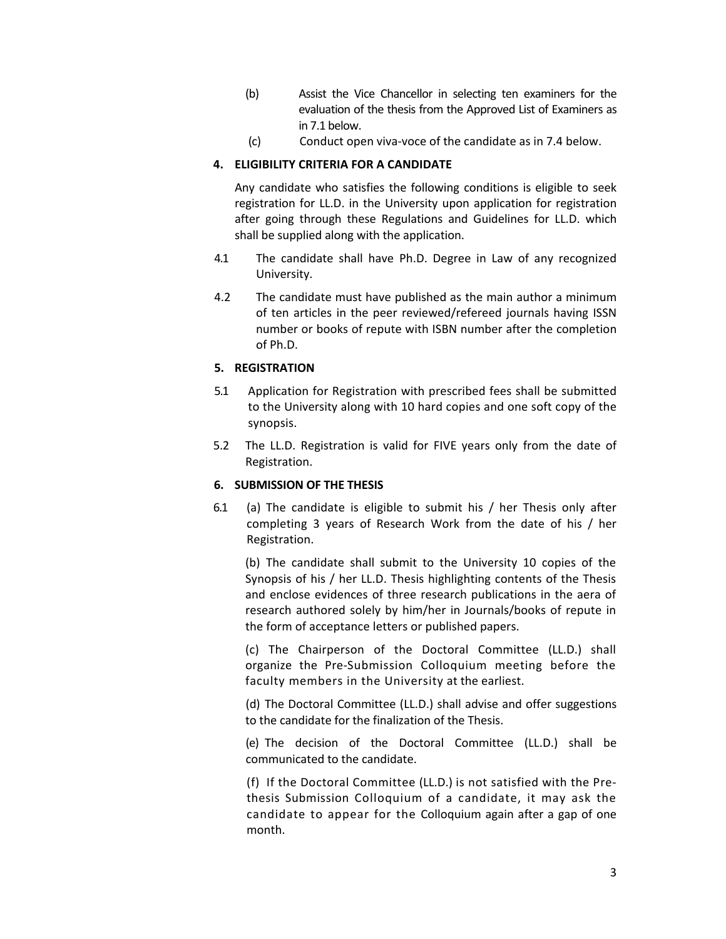- (b) Assist the Vice Chancellor in selecting ten examiners for the evaluation of the thesis from the Approved List of Examiners as in 7.1 below.
- (c) Conduct open viva‐voce of the candidate as in 7.4 below.

### **4. ELIGIBILITY CRITERIA FOR A CANDIDATE**

Any candidate who satisfies the following conditions is eligible to seek registration for LL.D. in the University upon application for registration after going through these Regulations and Guidelines for LL.D. which shall be supplied along with the application.

- 4.1 The candidate shall have Ph.D. Degree in Law of any recognized University.
- 4.2 The candidate must have published as the main author a minimum of ten articles in the peer reviewed/refereed journals having ISSN number or books of repute with ISBN number after the completion of Ph.D.

### **5. REGISTRATION**

- 5.1 Application for Registration with prescribed fees shall be submitted to the University along with 10 hard copies and one soft copy of the synopsis.
- 5.2 The LL.D. Registration is valid for FIVE years only from the date of Registration.

### **6. SUBMISSION OF THE THESIS**

6.1 (a) The candidate is eligible to submit his / her Thesis only after completing 3 years of Research Work from the date of his / her Registration.

(b) The candidate shall submit to the University 10 copies of the Synopsis of his / her LL.D. Thesis highlighting contents of the Thesis and enclose evidences of three research publications in the aera of research authored solely by him/her in Journals/books of repute in the form of acceptance letters or published papers.

(c) The Chairperson of the Doctoral Committee (LL.D.) shall organize the Pre‐Submission Colloquium meeting before the faculty members in the University at the earliest.

(d) The Doctoral Committee (LL.D.) shall advise and offer suggestions to the candidate for the finalization of the Thesis.

(e) The decision of the Doctoral Committee (LL.D.) shall be communicated to the candidate.

(f) If the Doctoral Committee (LL.D.) is not satisfied with the Pre‐ thesis Submission Colloquium of a candidate, it may ask the candidate to appear for the Colloquium again after a gap of one month.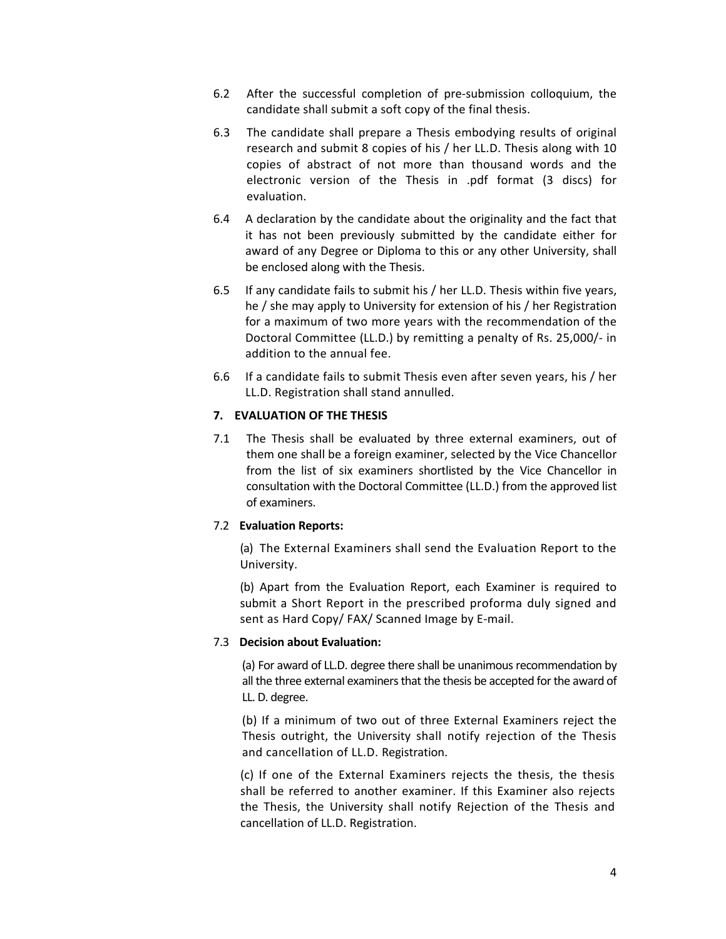- 6.2 After the successful completion of pre‐submission colloquium, the candidate shall submit a soft copy of the final thesis.
- 6.3 The candidate shall prepare a Thesis embodying results of original research and submit 8 copies of his / her LL.D. Thesis along with 10 copies of abstract of not more than thousand words and the electronic version of the Thesis in .pdf format (3 discs) for evaluation.
- 6.4 A declaration by the candidate about the originality and the fact that it has not been previously submitted by the candidate either for award of any Degree or Diploma to this or any other University, shall be enclosed along with the Thesis.
- 6.5 If any candidate fails to submit his / her LL.D. Thesis within five years, he / she may apply to University for extension of his / her Registration for a maximum of two more years with the recommendation of the Doctoral Committee (LL.D.) by remitting a penalty of Rs. 25,000/‐ in addition to the annual fee.
- 6.6 If a candidate fails to submit Thesis even after seven years, his / her LL.D. Registration shall stand annulled.

### **7. EVALUATION OF THE THESIS**

7.1 The Thesis shall be evaluated by three external examiners, out of them one shall be a foreign examiner, selected by the Vice Chancellor from the list of six examiners shortlisted by the Vice Chancellor in consultation with the Doctoral Committee (LL.D.) from the approved list of examiners.

### 7.2 **Evaluation Reports:**

(a) The External Examiners shall send the Evaluation Report to the University.

(b) Apart from the Evaluation Report, each Examiner is required to submit a Short Report in the prescribed proforma duly signed and sent as Hard Copy/ FAX/ Scanned Image by E-mail.

#### 7.3 **Decision about Evaluation:**

(a) For award of LL.D. degree there shall be unanimous recommendation by all the three external examiners that the thesis be accepted for the award of LL. D. degree.

(b) If a minimum of two out of three External Examiners reject the Thesis outright, the University shall notify rejection of the Thesis and cancellation of LL.D. Registration.

(c) If one of the External Examiners rejects the thesis, the thesis shall be referred to another examiner. If this Examiner also rejects the Thesis, the University shall notify Rejection of the Thesis and cancellation of LL.D. Registration.